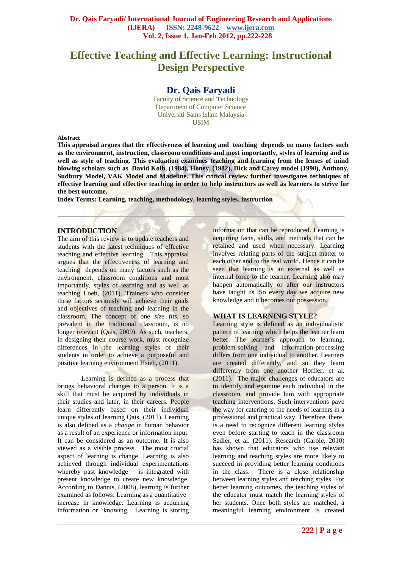# **Effective Teaching and Effective Learning: Instructional Design Perspective**

# **Dr. Qais Faryadi**

Faculty of Science and Technology Department of Computer Science Universiti Sains Islam Malaysia USIM

#### **Abstract**

**This appraisal argues that the effectiveness of learning and teaching depends on many factors such as the environment, instruction, classroom conditions and most importantly, styles of learning and as well as style of teaching. This evaluation examines teaching and learning from the lenses of mind blowing scholars such as David Kolb, (1984), Honey, (1982), Dick and Carey model (1990), Anthony, Sudbury Model, VAK Model and Madeline. This critical review further investigates techniques of effective learning and effective teaching in order to help instructors as well as learners to strive for the best outcome.**

**Index Terms: Learning, teaching, methodology, learning styles, instruction**

#### **INTRODUCTION**

The aim of this review is to update teachers and students with the latest techniques of effective teaching and effective learning. This appraisal argues that the effectiveness of learning and teaching depends on many factors such as the environment, classroom conditions and most importantly, styles of learning and as well as teaching Loeb, (2011). Trainers who consider these factors seriously will achieve their goals and objectives of teaching and learning in the classroom. The concept of one *size fits*, so prevalent in the traditional classroom, is no longer relevant (Qais, 2009). As such, teachers, in designing their course work, must recognize differences in the learning styles of their students in order to achieve a purposeful and positive learning environment Hsieh, (2011).

Learning is defined as a process that brings behavioral changes to a person. It is a skill that must be acquired by individuals in their studies and later, in their careers. People learn differently based on their individual unique styles of learning Qais, (2011). Learning is also defined as a *change* in human behavior as a result of an experience or information input. It can be considered as an outcome. It is also viewed as a visible process. The most crucial aspect of learning is change. Learning is also achieved through individual experimentations whereby past knowledge is integrated with present knowledge to create new knowledge. According to Dannis, (2008), learning is further examined as follows: Learning as a quantitative increase in knowledge. Learning is acquiring information or 'knowing. Learning is storing

information that can be reproduced. Learning is acquiring facts, skills, and methods that can be retained and used when necessary. Learning involves relating parts of the subject matter to each other and to the real world. Hence it can be seen that learning is an external as well as internal force to the learner. Learning also may happen automatically or after our instructors have taught us. So every day we acquire new knowledge and it becomes our possession.

## **WHAT IS LEARNING STYLE?**

Learning style is defined as an individualistic pattern of learning which helps the learner learn better. The learner's approach to learning, problem-solving and information-processing differs from one individual to another. Learners are created differently, and so they learn differently from one another Hoffler, et al. (2011). The major challenges of educators are to identify and examine each individual in the classroom, and provide him with appropriate teaching interventions. Such interventions pave the way for catering to the needs of learners in a professional and practical way. Therefore, there is a need to recognize different learning styles even before starting to teach in the classroom Sadler, et al. (2011). Research (Carole, 2010) has shown that educators who use relevant learning and teaching styles are more likely to succeed in providing better learning conditions in the class. There is a close relationship between learning styles and teaching styles. For better learning outcomes, the teaching styles of the educator must match the learning styles of her students. Once both styles are matched, a meaningful learning environment is created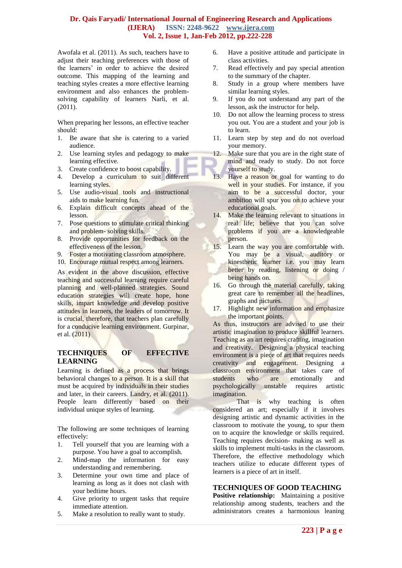[Awofala](http://www.eric.ed.gov/ERICWebPortal/search/simpleSearch.jsp?_pageLabel=ERICSearchResult&_urlType=action&newSearch=true&ERICExtSearch_SearchType_0=au&ERICExtSearch_SearchValue_0=%22Awofala+A.+O.+A.%22) et al. (2011). As such, teachers have to adjust their teaching preferences with those of the learners' in order to achieve the desired outcome. This mapping of the learning and teaching styles creates a more effective learning environment and also enhances the problemsolving capability of learners Narli, et al. (2011).

When preparing her lessons, an effective teacher should:

- 1. Be aware that she is catering to a varied audience.
- 2. Use learning styles and pedagogy to make learning effective.
- 3. Create confidence to boost capability.
- 4. Develop a curriculum to suit different learning styles.
- 5. Use audio-visual tools and instructional aids to make learning fun.
- 6. Explain difficult concepts ahead of the lesson.
- 7. Pose questions to stimulate critical thinking and problem- solving skills.
- 8. Provide opportunities for feedback on the effectiveness of the lesson.
- 9. Foster a motivating classroom atmosphere.
- 10. Encourage mutual respect among learners.

As evident in the above discussion, effective teaching and successful learning require careful planning and well-planned strategies. Sound education strategies will create hope, hone skills, impart knowledge and develop positive attitudes in learners, the leaders of tomorrow. It is crucial, therefore, that teachers plan carefully for a conducive learning environment. Gurpinar, et al. (2011)

## **TECHNIQUES OF EFFECTIVE LEARNING**

Learning is defined as a process that brings behavioral changes to a person. It is a skill that must be acquired by individuals in their studies and later, in their careers. [Landry, e](http://www.eric.ed.gov/ERICWebPortal/search/simpleSearch.jsp?_pageLabel=ERICSearchResult&_urlType=action&newSearch=true&ERICExtSearch_SearchType_0=au&ERICExtSearch_SearchValue_0=%22Landry+John+M.%22)t al. (2011). People learn differently based on their individual unique styles of learning.

The following are some techniques of learning effectively:

- 1. Tell yourself that you are learning with a purpose. You have a goal to accomplish.
- 2. Mind-map the information for easy understanding and remembering.
- 3. Determine your own time and place of learning as long as it does not clash with your bedtime hours.
- 4. Give priority to urgent tasks that require immediate attention.
- 5. Make a resolution to really want to study.
- 6. Have a positive attitude and participate in class activities.
- 7. Read effectively and pay special attention to the summary of the chapter.
- 8. Study in a group where members have similar learning styles.
- 9. If you do not understand any part of the lesson, ask the instructor for help.
- 10. Do not allow the learning process to stress you out. You are a student and your job is to learn.
- 11. Learn step by step and do not overload your memory.
- 12. Make sure that you are in the right state of mind and ready to study. Do not force yourself to study.
- 13. Have a reason or goal for wanting to do well in your studies. For instance, if you aim to be a successful doctor, your ambition will spur you on to achieve your educational goals.
- 14. Make the learning relevant to situations in real life; believe that you can solve problems if you are a knowledgeable person.
- 15. Learn the way you are comfortable with. You may be a visual, auditory or kinesthetic learner i.e. you may learn better by reading, listening or doing / being hands on.
- 16. Go through the material carefully, taking great care to remember all the headlines, graphs and pictures.
- 17. Highlight new information and emphasize the important points.

As thus, instructors are advised to use their artistic imagination to produce skillful learners. Teaching as an art requires crafting, imagination and creativity. Designing a physical teaching environment is a piece of art that requires needs creativity and engagement. Designing a classroom environment that takes care of students who are emotionally and psychologically unstable requires artistic imagination.

That is why teaching is often considered an art; especially if it involves designing artistic and dynamic activities in the classroom to motivate the young, to spur them on to acquire the knowledge or skills required. Teaching requires decision- making as well as skills to implement multi-tasks in the classroom. Therefore, the effective methodology which teachers utilize to educate different types of learners is a piece of art in itself.

## **TECHNIQUES OF GOOD TEACHING**

**Positive relationship:** Maintaining a positive relationship among students, teachers and the administrators creates a harmonious leaning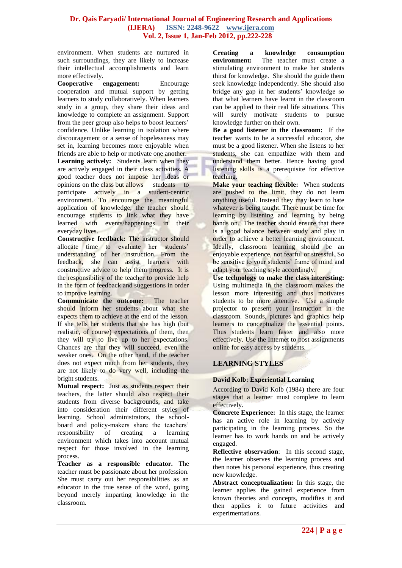environment. When students are nurtured in such surroundings, they are likely to increase their intellectual accomplishments and learn more effectively.

**Cooperative engagement:** Encourage cooperation and mutual support by getting learners to study collaboratively. When learners study in a group, they share their ideas and knowledge to complete an assignment. Support from the peer group also helps to boost learners' confidence. Unlike learning in isolation where discouragement or a sense of hopelessness may set in, learning becomes more enjoyable when friends are able to help or motivate one another. **Learning actively:** Students learn when they are actively engaged in their class activities. A good teacher does not impose her ideas or opinions on the class but allows students to participate actively in a student-centric environment. To encourage the meaningful application of knowledge, the teacher should encourage students to link what they have learned with events/happenings in their everyday lives.

**Constructive feedback:** The instructor should allocate time to evaluate her students' understanding of her instruction. From the feedback, she can assist learners with constructive advice to help them progress. It is the responsibility of the teacher to provide help in the form of feedback and suggestions in order to improve learning.

**Communicate the outcome:** The teacher should inform her students about what she expects them to achieve at the end of the lesson. If she tells her students that she has high (but realistic, of course) expectations of them, then they will try to live up to her expectations. Chances are that they will succeed, even the weaker ones. On the other hand, if the teacher does not expect much from her students, they are not likely to do very well, including the bright students.

**Mutual respect:** Just as students respect their teachers, the latter should also respect their students from diverse backgrounds, and take into consideration their different styles of learning. School administrators, the schoolboard and policy-makers share the teachers' responsibility of creating a learning environment which takes into account mutual respect for those involved in the learning process.

**Teacher as a responsible educator.** The teacher must be passionate about her profession. She must carry out her responsibilities as an educator in the true sense of the word, going beyond merely imparting knowledge in the classroom.

**Creating a knowledge consumption environment:** The teacher must create a stimulating environment to make her students thirst for knowledge. She should the guide them seek knowledge independently. She should also bridge any gap in her students' knowledge so that what learners have learnt in the classroom can be applied to their real life situations. This will surely motivate students to pursue knowledge further on their own.

**Be a good listener in the classroom:** If the teacher wants to be a successful educator, she must be a good listener. When she listens to her students, she can empathize with them and understand them better. Hence having good listening skills is a prerequisite for effective teaching.

**Make your teaching flexible:** When students are pushed to the limit, they do not learn anything useful. Instead they may learn to hate whatever is being taught. There must be time for learning by listening and learning by being hands on. The teacher should ensure that there is a good balance between study and play in order to achieve a better learning environment. Ideally, classroom learning should be an enjoyable experience, not fearful or stressful. So be sensitive to your students' frame of mind and adapt your teaching style accordingly.

**Use technology to make the class interesting:** Using multimedia in the classroom makes the lesson more interesting and thus motivates students to be more attentive. Use a simple projector to present your instruction in the classroom. Sounds, pictures and graphics help learners to conceptualize the essential points. Thus students learn faster and also more effectively. Use the Internet to post assignments online for easy access by students.

# **LEARNING STYLES**

## **David Kolb: Experiential Learning**

According to David Kolb (1984) there are four stages that a learner must complete to learn effectively.

**Concrete Experience:** In this stage, the learner has an active role in learning by actively participating in the learning process. So the learner has to work hands on and be actively engaged.

**Reflective observation**: In this second stage, the learner observes the learning process and then notes his personal experience, thus creating new knowledge.

**Abstract conceptualization:** In this stage, the learner applies the gained experience from known theories and concepts, modifies it and then applies it to future activities and experimentations.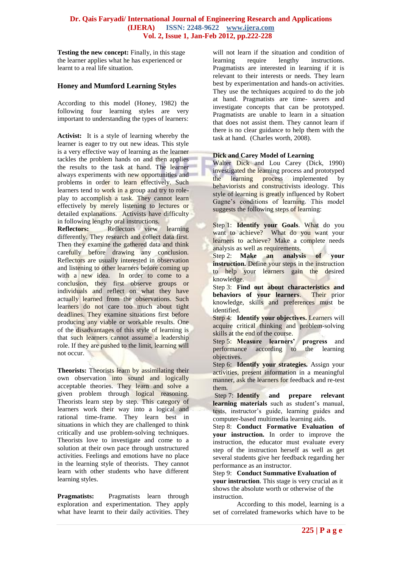**Testing the new concept:** Finally, in this stage the learner applies what he has experienced or learnt to a real life situation.

## **Honey and Mumford Learning Styles**

According to this model (Honey, 1982) the following four learning styles are very important to understanding the types of learners:

**Activist:** It is a style of learning whereby the learner is eager to try out new ideas. This style is a very effective way of learning as the learner tackles the problem hands on and then applies the results to the task at hand. The learner always experiments with new opportunities and problems in order to learn effectively. Such learners tend to work in a group and try to roleplay to accomplish a task. They cannot learn effectively by merely listening to lectures or detailed explanations. Activists have difficulty in following lengthy oral instructions.

**Reflectors:** Reflectors view learning differently. They research and collect data first. Then they examine the gathered data and think carefully before drawing any conclusion. Reflectors are usually interested in observation and listening to other learners before coming up with a new idea. In order to come to a conclusion, they first observe groups or individuals and reflect on what they have actually learned from the observations. Such learners do not care too much about tight deadlines. They examine situations first before producing any viable or workable results. One of the disadvantages of this style of learning is that such learners cannot assume a leadership role. If they are pushed to the limit, learning will not occur.

**Theorists:** Theorists learn by assimilating their own observation into sound and logically acceptable theories. They learn and solve a given problem through logical reasoning. Theorists learn step by step. This category of learners work their way into a logical and rational time-frame. They learn best in situations in which they are challenged to think critically and use problem-solving techniques. Theorists love to investigate and come to a solution at their own pace through unstructured activities. Feelings and emotions have no place in the learning style of theorists. They cannot learn with other students who have different learning styles.

**Pragmatists:** Pragmatists learn through exploration and experimentation. They apply what have learnt to their daily activities. They will not learn if the situation and condition of learning require lengthy instructions. Pragmatists are interested in learning if it is relevant to their interests or needs. They learn best by experimentation and hands-on activities. They use the techniques acquired to do the job at hand. Pragmatists are time- savers and investigate concepts that can be prototyped. Pragmatists are unable to learn in a situation that does not assist them. They cannot learn if there is no clear guidance to help them with the task at hand. (Charles worth, 2008).

#### **Dick and Carey Model of Learning**

Walter Dick and Lou Carey (Dick, 1990) investigated the learning process and prototyped the learning process implemented by behaviorists and constructivists ideology. This style of learning is greatly influenced by Robert Gagne's conditions of learning. This model suggests the following steps of learning:

Step 1: **Identify your Goals**. What do you want to achieve? What do you want your learners to achieve? Make a complete needs analysis as well as requirements.

Step 2: **Make an analysis of your instruction.** Define your steps in the instruction to help your learners gain the desired knowledge.

Step 3: **Find out about characteristics and behaviors of your learners**. Their prior knowledge, skills and preferences must be identified.

Step 4: **Identify your objectives.** Learners will acquire critical thinking and problem-solving skills at the end of the course.

Step 5: **Measure learners' progress** and performance according to the learning objectives.

Step 6: **Identify your strategies.** Assign your activities, present information in a meaningful manner, ask the learners for feedback and re-test them.

Step 7: **Identify and prepare relevant learning materials** such as student's manual, tests, instructor's guide, learning guides and computer-based multimedia learning aids.

Step 8: **Conduct Formative Evaluation of your instruction.** In order to improve the instruction, the educator must evaluate every step of the instruction herself as well as get several students give her feedback regarding her performance as an instructor.

Step 9: **Conduct Summative Evaluation of your instruction**. This stage is very crucial as it shows the absolute worth or otherwise of the instruction.

According to this model, learning is a set of correlated frameworks which have to be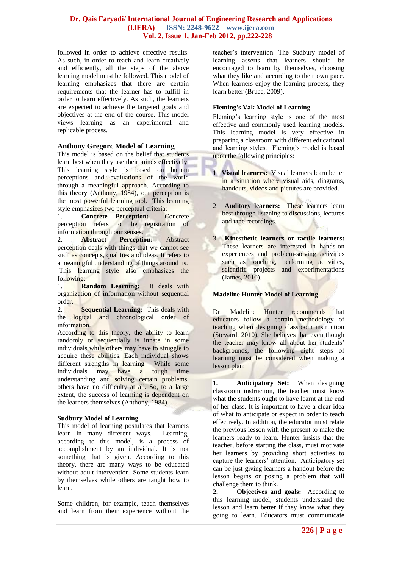followed in order to achieve effective results. As such, in order to teach and learn creatively and efficiently, all the steps of the above learning model must be followed. This model of learning emphasizes that there are certain requirements that the learner has to fulfill in order to learn effectively. As such, the learners are expected to achieve the targeted goals and objectives at the end of the course. This model views learning as an experimental and replicable process.

## **Anthony Gregorc Model of Learning**

This model is based on the belief that students learn best when they use their minds effectively. This learning style is based on human perceptions and evaluations of the world through a meaningful approach. According to this theory (Anthony, 1984), our perception is the most powerful learning tool. This learning style emphasizes two perceptual criteria:

1. **Concrete Perception:** Concrete perception refers to the registration of information through our senses.

2. **Abstract Perception:** Abstract perception deals with things that we cannot see such as concepts, qualities and ideas. It refers to a meaningful understanding of things around us. This learning style also emphasizes the following:

1. **Random Learning:** It deals with organization of information without sequential order.

2. **Sequential Learning:** This deals with the logical and chronological order of information.

According to this theory, the ability to learn randomly or sequentially is innate in some individuals while others may have to struggle to acquire these abilities. Each individual shows different strengths in learning. While some individuals may have a tough time understanding and solving certain problems, others have no difficulty at all. So, to a large extent, the success of learning is dependent on the learners themselves (Anthony, 1984).

#### **Sudbury Model of Learning**

This model of learning postulates that learners learn in many different ways. Learning, according to this model, is a process of accomplishment by an individual. It is not something that is given. According to this theory, there are many ways to be educated without adult intervention. Some students learn by themselves while others are taught how to learn.

Some children, for example, teach themselves and learn from their experience without the

teacher's intervention. The Sudbury model of learning asserts that learners should be encouraged to learn by themselves, choosing what they like and according to their own pace. When learners enjoy the learning process, they learn better (Bruce, 2009).

#### **Fleming's Vak Model of Learning**

Fleming's learning style is one of the most effective and commonly used learning models. This learning model is very effective in preparing a classroom with different educational and learning styles. Fleming's model is based upon the following principles:

- 1. **[Visual learners:](http://en.wikipedia.org/wiki/Visual_learning)** Visual learners learn better in a situation where visual aids, diagrams, handouts, videos and pictures are provided.
- 2. **[Auditory learners:](http://en.wikipedia.org/wiki/Auditory_learning)** These learners learn best through listening to discussions, lectures and tape recordings.
- 3. **[Kinesthetic learners](http://en.wikipedia.org/wiki/Kinesthetic_learning) or [tactile learners:](http://en.wikipedia.org/wiki/Tactile_learning)** These learners are interested in hands-on experiences and problem-solving activities such as touching, performing activities, scientific projects and experimentations (James, 2010).

## **Madeline Hunter Model of Learning**

Dr. Madeline Hunter recommends that educators follow a certain methodology of teaching when designing classroom instruction (Steward, 2010). She believes that even though the teacher may know all about her students' backgrounds, the following eight steps of learning must be considered when making a lesson plan:

**1. Anticipatory Set:** When designing classroom instruction, the teacher must know what the students ought to have learnt at the end of her class. It is important to have a clear idea of what to anticipate or expect in order to teach effectively. In addition, the educator must relate the previous lesson with the present to make the learners ready to learn. Hunter insists that the teacher, before starting the class, must motivate her learners by providing short activities to capture the learners' attention. Anticipatory set can be just giving learners a handout before the lesson begins or posing a problem that will challenge them to think.

**2. Objectives and goals:** According to this learning model, students understand the lesson and learn better if they know what they going to learn. Educators must communicate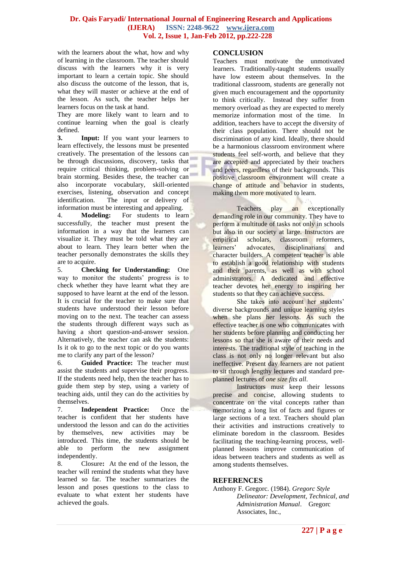with the learners about the what, how and why of learning in the classroom. The teacher should discuss with the learners why it is very important to learn a certain topic. She should also discuss the outcome of the lesson, that is, what they will master or achieve at the end of the lesson. As such, the teacher helps her learners focus on the task at hand.

They are more likely want to learn and to continue learning when the goal is clearly defined.

**3. Input:** If you want your learners to learn effectively, the lessons must be presented creatively. The presentation of the lessons can be through discussions, discovery, tasks that require critical thinking, problem-solving or brain storming. Besides these, the teacher can also incorporate vocabulary, skill-oriented exercises, listening, observation and concept identification. The input or delivery of information must be interesting and appealing.

4. **Modeling:** For students to learn successfully, the teacher must present the information in a way that the learners can visualize it. They must be told what they are about to learn. They learn better when the teacher personally demonstrates the skills they are to acquire.

5. **Checking for Understanding:** One way to monitor the students' progress is to check whether they have learnt what they are supposed to have learnt at the end of the lesson. It is crucial for the teacher to make sure that students have understood their lesson before moving on to the next. The teacher can assess the students through different ways such as having a short question-and-answer session. Alternatively, the teacher can ask the students: Is it ok to go to the next topic or do you wants me to clarify any part of the lesson?

6. **Guided Practice:** The teacher must assist the students and supervise their progress. If the students need help, then the teacher has to guide them step by step, using a variety of teaching aids, until they can do the activities by themselves.

7. **Independent Practice:** Once the teacher is confident that her students have understood the lesson and can do the activities by themselves, new activities may be introduced. This time, the students should be able to perform the new assignment independently.

8. Closure**:** At the end of the lesson, the teacher will remind the students what they have learned so far. The teacher summarizes the lesson and poses questions to the class to evaluate to what extent her students have achieved the goals.

# **CONCLUSION**

Teachers must motivate the unmotivated learners. Traditionally-taught students usually have low esteem about themselves. In the traditional classroom, students are generally not given much encouragement and the opportunity to think critically. Instead they suffer from memory overload as they are expected to merely memorize information most of the time. In addition, teachers have to accept the diversity of their class population. There should not be discrimination of any kind. Ideally, there should be a harmonious classroom environment where students feel self-worth, and believe that they are accepted and appreciated by their teachers and peers, regardless of their backgrounds. This positive classroom environment will create a change of attitude and behavior in students, making them more motivated to learn.

Teachers play an exceptionally demanding role in our community. They have to perform a multitude of tasks not only in schools but also in our society at large. Instructors are empirical scholars, classroom reformers, learners' advocates, disciplinarians and character builders. A competent teacher is able to establish a good relationship with students and their parents, as well as with school administrators. A dedicated and effective teacher devotes her energy to inspiring her students so that they can achieve success.

She takes into account her students' diverse backgrounds and unique learning styles when she plans her lessons. As such the effective teacher is one who communicates with her students before planning and conducting her lessons so that she is aware of their needs and interests. The traditional style of teaching in the class is not only no longer relevant but also ineffective. Present day learners are not patient to sit through lengthy lectures and standard preplanned lectures of *one size fits all*.

Instructors must keep their lessons precise and concise, allowing students to concentrate on the vital concepts rather than memorizing a long list of facts and figures or large sections of a text. Teachers should plan their activities and instructions creatively to eliminate boredom in the classroom. Besides facilitating the teaching-learning process, wellplanned lessons improve communication of ideas between teachers and students as well as among students themselves.

## **REFERENCES**

Anthony F. Gregorc. (1984). *[Gregorc Style](http://gregorc.com/books.html#id5)  [Delineator: Development, Technical, and](http://gregorc.com/books.html#id5)  [Administration Manual](http://gregorc.com/books.html#id5)*. Gregorc Associates, Inc.,